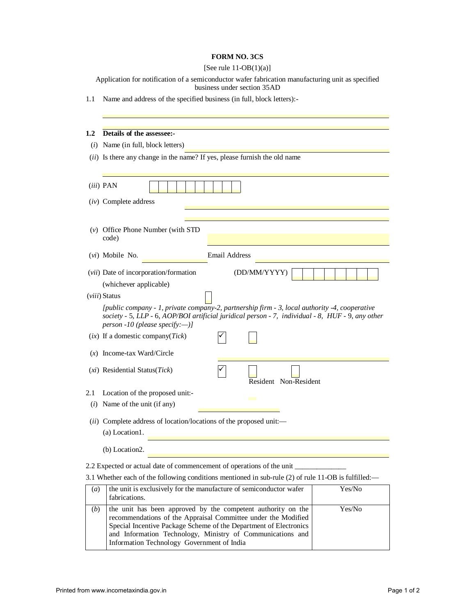## **FORM NO. 3CS**

| [See rule $11-OB(1)(a)$ ] |  |  |  |
|---------------------------|--|--|--|
|---------------------------|--|--|--|

Application for notification of a semiconductor wafer fabrication manufacturing unit as specified business under section 35AD

1.1 Name and address of the specified business (in full, block letters):-

| $1.2\,$                                                                                             | Details of the assessee:-                                                                                                                                                                                                             |  |  |  |  |  |
|-----------------------------------------------------------------------------------------------------|---------------------------------------------------------------------------------------------------------------------------------------------------------------------------------------------------------------------------------------|--|--|--|--|--|
| (i)                                                                                                 | Name (in full, block letters)                                                                                                                                                                                                         |  |  |  |  |  |
|                                                                                                     | (ii) Is there any change in the name? If yes, please furnish the old name                                                                                                                                                             |  |  |  |  |  |
|                                                                                                     |                                                                                                                                                                                                                                       |  |  |  |  |  |
|                                                                                                     | <i>(iii)</i> PAN                                                                                                                                                                                                                      |  |  |  |  |  |
|                                                                                                     | $(iv)$ Complete address                                                                                                                                                                                                               |  |  |  |  |  |
|                                                                                                     |                                                                                                                                                                                                                                       |  |  |  |  |  |
|                                                                                                     | $(v)$ Office Phone Number (with STD)<br>code)                                                                                                                                                                                         |  |  |  |  |  |
|                                                                                                     | <b>Email Address</b><br>( <i>vi</i> ) Mobile No.                                                                                                                                                                                      |  |  |  |  |  |
|                                                                                                     | (vii) Date of incorporation/formation<br>(DD/MM/YYYY)<br>(whichever applicable)                                                                                                                                                       |  |  |  |  |  |
|                                                                                                     | <i>(viii)</i> Status                                                                                                                                                                                                                  |  |  |  |  |  |
|                                                                                                     | [public company - 1, private company-2, partnership firm - 3, local authority -4, cooperative<br>society - 5, LLP - 6, AOP/BOI artificial juridical person - 7, individual - 8, HUF - 9, any other<br>person -10 (please specify:--)] |  |  |  |  |  |
|                                                                                                     | $(ix)$ If a domestic company( <i>Tick</i> )                                                                                                                                                                                           |  |  |  |  |  |
|                                                                                                     | $(x)$ Income-tax Ward/Circle                                                                                                                                                                                                          |  |  |  |  |  |
|                                                                                                     | (xi) Residential Status(Tick)<br>Resident Non-Resident                                                                                                                                                                                |  |  |  |  |  |
| 2.1                                                                                                 | Location of the proposed unit:-                                                                                                                                                                                                       |  |  |  |  |  |
| (i)                                                                                                 | Name of the unit (if any)                                                                                                                                                                                                             |  |  |  |  |  |
|                                                                                                     | (ii) Complete address of location/locations of the proposed unit:-                                                                                                                                                                    |  |  |  |  |  |
|                                                                                                     | (a) Location1.                                                                                                                                                                                                                        |  |  |  |  |  |
|                                                                                                     | (b) Location2.                                                                                                                                                                                                                        |  |  |  |  |  |
| 2.2 Expected or actual date of commencement of operations of the unit                               |                                                                                                                                                                                                                                       |  |  |  |  |  |
| 3.1 Whether each of the following conditions mentioned in sub-rule (2) of rule 11-OB is fulfilled:— |                                                                                                                                                                                                                                       |  |  |  |  |  |
| (a)                                                                                                 | the unit is exclusively for the manufacture of semiconductor wafer<br>Yes/No<br>fabrications.                                                                                                                                         |  |  |  |  |  |

| (a) | the unit is exclusively for the manufacture of semiconductor water<br>fabrications.                                                                                                                                                                                                                            | Yes/No |
|-----|----------------------------------------------------------------------------------------------------------------------------------------------------------------------------------------------------------------------------------------------------------------------------------------------------------------|--------|
| (b) | the unit has been approved by the competent authority on the<br>recommendations of the Appraisal Committee under the Modified<br>Special Incentive Package Scheme of the Department of Electronics<br>and Information Technology, Ministry of Communications and<br>Information Technology Government of India | Yes/No |